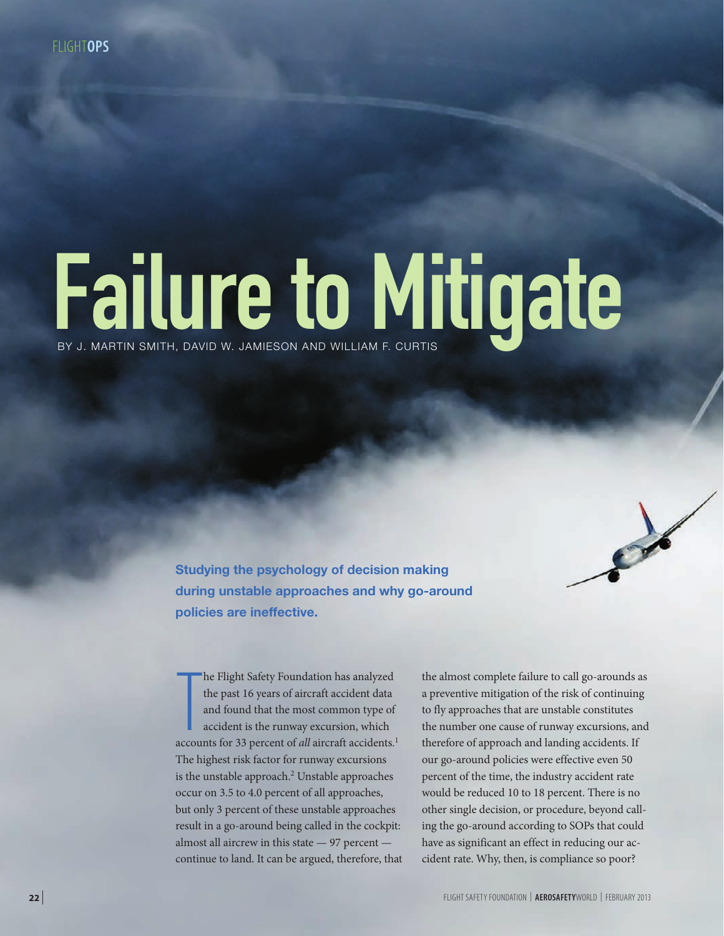# Failure to Mitigate

**Studying the psychology of decision making during unstable approaches and why go-around policies are ineffective.**

The Flight Safety Foundation has analyzed<br>the past 16 years of aircraft accident data<br>and found that the most common type of<br>accident is the runway excursion, which<br>accounts for 33 percent of *all* aircraft accidents.<sup>1</sup> he Flight Safety Foundation has analyzed the past 16 years of aircraft accident data and found that the most common type of accident is the runway excursion, which The highest risk factor for runway excursions is the unstable approach.<sup>2</sup> Unstable approaches occur on 3.5 to 4.0 percent of all approaches, but only 3 percent of these unstable approaches result in a go-around being called in the cockpit: almost all aircrew in this state — 97 percent continue to land. It can be argued, therefore, that

the almost complete failure to call go-arounds as a preventive mitigation of the risk of continuing to fly approaches that are unstable constitutes the number one cause of runway excursions, and therefore of approach and landing accidents. If our go-around policies were effective even 50 percent of the time, the industry accident rate would be reduced 10 to 18 percent. There is no other single decision, or procedure, beyond calling the go-around according to SOPs that could have as significant an effect in reducing our accident rate. Why, then, is compliance so poor?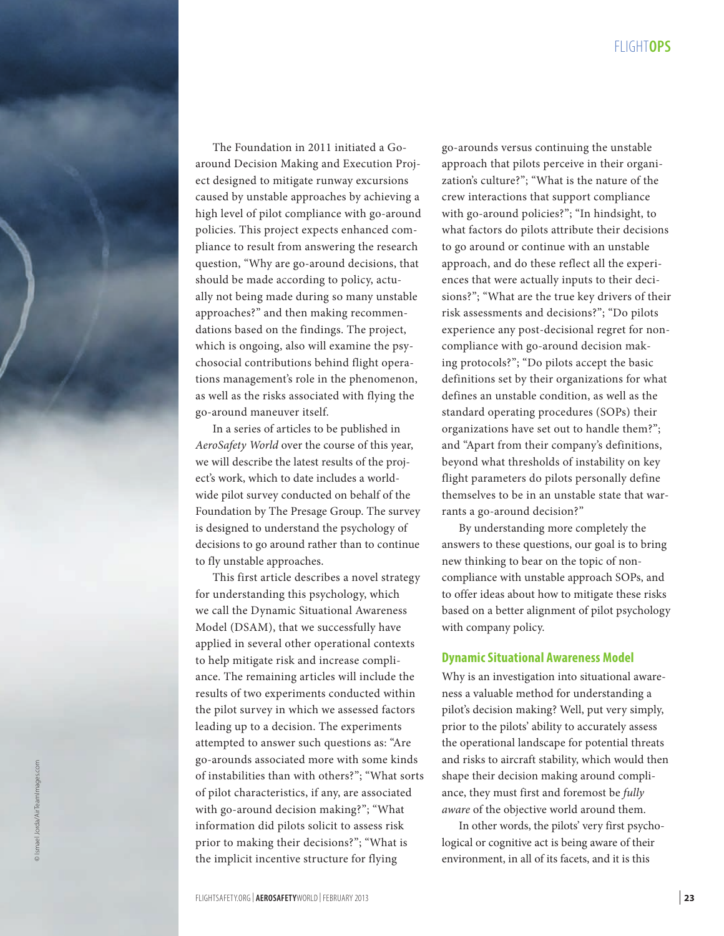

The Foundation in 2011 initiated a Goaround Decision Making and Execution Proj ect designed to mitigate runway excursions caused by unstable approaches by achieving a high level of pilot compliance with go-around policies. This project expects enhanced com pliance to result from answering the research question, "Why are go-around decisions, that should be made according to policy, actu ally not being made during so many unstable approaches?" and then making recommen dations based on the findings. The project, which is ongoing, also will examine the psy chosocial contributions behind flight opera tions management's role in the phenomenon, as well as the risks associated with flying the go-around maneuver itself.

In a series of articles to be published in *AeroSafety World* over the course of this year, we will describe the latest results of the proj ect's work, which to date includes a world wide pilot survey conducted on behalf of the Foundation by The Presage Group. The survey is designed to understand the psychology of decisions to go around rather than to continue to fly unstable approaches.

This first article describes a novel strategy for understanding this psychology, which we call the Dynamic Situational Awareness Model (DSAM), that we successfully have applied in several other operational contexts to help mitigate risk and increase compli ance. The remaining articles will include the results of two experiments conducted within the pilot survey in which we assessed factors leading up to a decision. The experiments attempted to answer such questions as: "Are go-arounds associated more with some kinds of instabilities than with others?"; "What sorts of pilot characteristics, if any, are associated with go-around decision making?"; "What information did pilots solicit to assess risk prior to making their decisions?"; "What is the implicit incentive structure for flying

go-arounds versus continuing the unstable approach that pilots perceive in their organi zation's culture?"; "What is the nature of the crew interactions that support compliance with go-around policies?"; "In hindsight, to what factors do pilots attribute their decisions to go around or continue with an unstable approach, and do these reflect all the experi ences that were actually inputs to their deci sions?"; "What are the true key drivers of their risk assessments and decisions?"; "Do pilots experience any post-decisional regret for noncompliance with go-around decision making protocols?"; "Do pilots accept the basic definitions set by their organizations for what defines an unstable condition, as well as the standard operating procedures (SOPs) their organizations have set out to handle them?"; and "Apart from their company's definitions, beyond what thresholds of instability on key flight parameters do pilots personally define themselves to be in an unstable state that war rants a go-around decision?"

By understanding more completely the answers to these questions, our goal is to bring new thinking to bear on the topic of noncompliance with unstable approach SOPs, and to offer ideas about how to mitigate these risks based on a better alignment of pilot psychology with company policy.

### **Dynamic Situational Awareness Model**

Why is an investigation into situational aware ness a valuable method for understanding a pilot's decision making? Well, put very simply, prior to the pilots' ability to accurately assess the operational landscape for potential threats and risks to aircraft stability, which would then shape their decision making around compli ance, they must first and foremost be *fully aware* of the objective world around them.

In other words, the pilots' very first psycho logical or cognitive act is being aware of their environment, in all of its facets, and it is this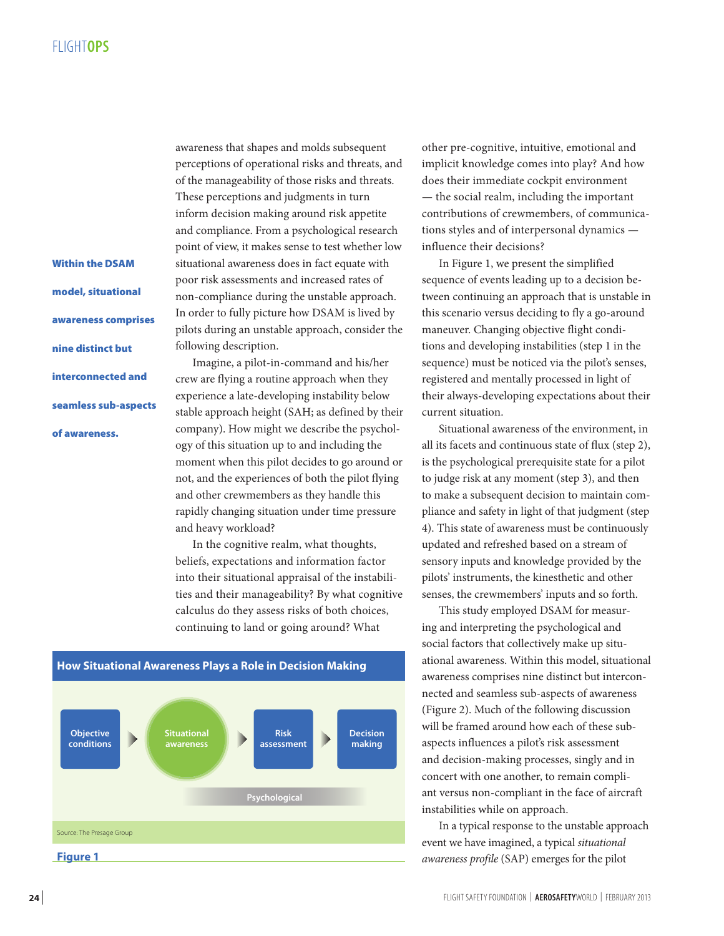# FLIGHT**OPS**

Within the DSAM model, situational awareness comprises nine distinct but interconnected and seamless sub-aspects of awareness.

awareness that shapes and molds subsequent perceptions of operational risks and threats, and of the manageability of those risks and threats. These perceptions and judgments in turn inform decision making around risk appetite and compliance. From a psychological research point of view, it makes sense to test whether low situational awareness does in fact equate with poor risk assessments and increased rates of non-compliance during the unstable approach. In order to fully picture how DSAM is lived by pilots during an unstable approach, consider the following description.

Imagine, a pilot-in-command and his/her crew are flying a routine approach when they experience a late-developing instability below stable approach height (SAH; as defined by their company). How might we describe the psychology of this situation up to and including the moment when this pilot decides to go around or not, and the experiences of both the pilot flying and other crewmembers as they handle this rapidly changing situation under time pressure and heavy workload?

In the cognitive realm, what thoughts, beliefs, expectations and information factor into their situational appraisal of the instabilities and their manageability? By what cognitive calculus do they assess risks of both choices, continuing to land or going around? What



other pre-cognitive, intuitive, emotional and implicit knowledge comes into play? And how does their immediate cockpit environment — the social realm, including the important contributions of crewmembers, of communications styles and of interpersonal dynamics influence their decisions?

In Figure 1, we present the simplified sequence of events leading up to a decision between continuing an approach that is unstable in this scenario versus deciding to fly a go-around maneuver. Changing objective flight conditions and developing instabilities (step 1 in the sequence) must be noticed via the pilot's senses, registered and mentally processed in light of their always-developing expectations about their current situation.

Situational awareness of the environment, in all its facets and continuous state of flux (step 2), is the psychological prerequisite state for a pilot to judge risk at any moment (step 3), and then to make a subsequent decision to maintain compliance and safety in light of that judgment (step 4). This state of awareness must be continuously updated and refreshed based on a stream of sensory inputs and knowledge provided by the pilots' instruments, the kinesthetic and other senses, the crewmembers' inputs and so forth.

This study employed DSAM for measuring and interpreting the psychological and social factors that collectively make up situational awareness. Within this model, situational awareness comprises nine distinct but interconnected and seamless sub-aspects of awareness (Figure 2). Much of the following discussion will be framed around how each of these subaspects influences a pilot's risk assessment and decision-making processes, singly and in concert with one another, to remain compliant versus non-compliant in the face of aircraft instabilities while on approach.

In a typical response to the unstable approach event we have imagined, a typical *situational awareness profile* (SAP) emerges for the pilot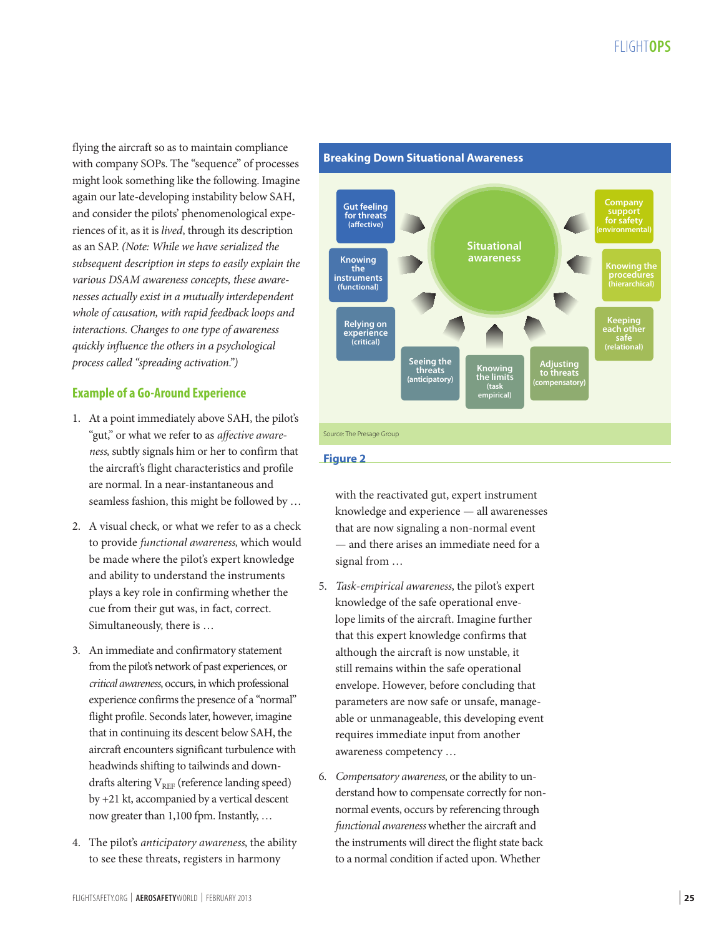flying the aircraft so as to maintain compliance with company SOPs. The "sequence" of processes might look something like the following. Imagine again our late-developing instability below SAH, and consider the pilots' phenomenological experiences of it, as it is *lived*, through its description as an SAP. *(Note: While we have serialized the subsequent description in steps to easily explain the various DSAM awareness concepts, these awarenesses actually exist in a mutually interdependent whole of causation, with rapid feedback loops and interactions. Changes to one type of awareness quickly influence the others in a psychological process called "spreading activation.")*

# **Example of a Go-Around Experience**

- 1. At a point immediately above SAH, the pilot's "gut," or what we refer to as *affective awareness*, subtly signals him or her to confirm that the aircraft's flight characteristics and profile are normal. In a near-instantaneous and seamless fashion, this might be followed by …
- 2. A visual check, or what we refer to as a check to provide *functional awareness*, which would be made where the pilot's expert knowledge and ability to understand the instruments plays a key role in confirming whether the cue from their gut was, in fact, correct. Simultaneously, there is …
- 3. An immediate and confirmatory statement from the pilot's network of past experiences, or *critical awareness*, occurs, in which professional experience confirms the presence of a "normal" flight profile. Seconds later, however, imagine that in continuing its descent below SAH, the aircraft encounters significant turbulence with headwinds shifting to tailwinds and downdrafts altering  $V_{REF}$  (reference landing speed) by +21 kt, accompanied by a vertical descent now greater than 1,100 fpm. Instantly, …
- 4. The pilot's *anticipatory awareness*, the ability to see these threats, registers in harmony



### **Figure 2**

with the reactivated gut, expert instrument knowledge and experience — all awarenesses that are now signaling a non-normal event — and there arises an immediate need for a signal from …

- 5. *Task-empirical awareness*, the pilot's expert knowledge of the safe operational envelope limits of the aircraft. Imagine further that this expert knowledge confirms that although the aircraft is now unstable, it still remains within the safe operational envelope. However, before concluding that parameters are now safe or unsafe, manageable or unmanageable, this developing event requires immediate input from another awareness competency …
- 6. *Compensatory awareness*, or the ability to understand how to compensate correctly for nonnormal events, occurs by referencing through *functional awareness* whether the aircraft and the instruments will direct the flight state back to a normal condition if acted upon. Whether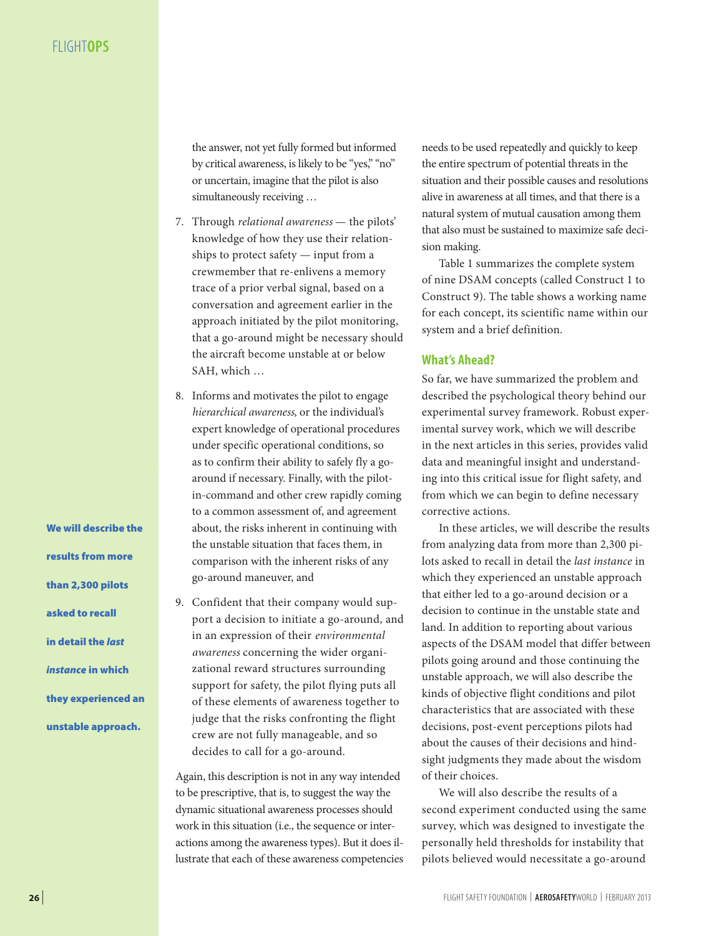the answer, not yet fully formed but informed by critical awareness, is likely to be "yes," "no" or uncertain, imagine that the pilot is also simultaneously receiving …

- 7. Through *relational awareness* the pilots' knowledge of how they use their relationships to protect safety — input from a crewmember that re-enlivens a memory trace of a prior verbal signal, based on a conversation and agreement earlier in the approach initiated by the pilot monitoring, that a go-around might be necessary should the aircraft become unstable at or below SAH, which …
- 8. Informs and motivates the pilot to engage *hierarchical awareness*, or the individual's expert knowledge of operational procedures under specific operational conditions, so as to confirm their ability to safely fly a goaround if necessary. Finally, with the pilotin-command and other crew rapidly coming to a common assessment of, and agreement about, the risks inherent in continuing with the unstable situation that faces them, in comparison with the inherent risks of any go-around maneuver, and
- 9. Confident that their company would support a decision to initiate a go-around, and in an expression of their *environmental awareness* concerning the wider organizational reward structures surrounding support for safety, the pilot flying puts all of these elements of awareness together to judge that the risks confronting the flight crew are not fully manageable, and so decides to call for a go-around.

Again, this description is not in any way intended to be prescriptive, that is, to suggest the way the dynamic situational awareness processes should work in this situation (i.e., the sequence or interactions among the awareness types). But it does illustrate that each of these awareness competencies needs to be used repeatedly and quickly to keep the entire spectrum of potential threats in the situation and their possible causes and resolutions alive in awareness at all times, and that there is a natural system of mutual causation among them that also must be sustained to maximize safe decision making.

Table 1 summarizes the complete system of nine DSAM concepts (called Construct 1 to Construct 9). The table shows a working name for each concept, its scientific name within our system and a brief definition.

## **What's Ahead?**

So far, we have summarized the problem and described the psychological theory behind our experimental survey framework. Robust experimental survey work, which we will describe in the next articles in this series, provides valid data and meaningful insight and understanding into this critical issue for flight safety, and from which we can begin to define necessary corrective actions.

In these articles, we will describe the results from analyzing data from more than 2,300 pilots asked to recall in detail the *last instance* in which they experienced an unstable approach that either led to a go-around decision or a decision to continue in the unstable state and land. In addition to reporting about various aspects of the DSAM model that differ between pilots going around and those continuing the unstable approach, we will also describe the kinds of objective flight conditions and pilot characteristics that are associated with these decisions, post-event perceptions pilots had about the causes of their decisions and hindsight judgments they made about the wisdom of their choices.

We will also describe the results of a second experiment conducted using the same survey, which was designed to investigate the personally held thresholds for instability that pilots believed would necessitate a go-around

We will describe the results from more than 2,300 pilots asked to recall in detail the *last instance* in which they experienced an unstable approach.